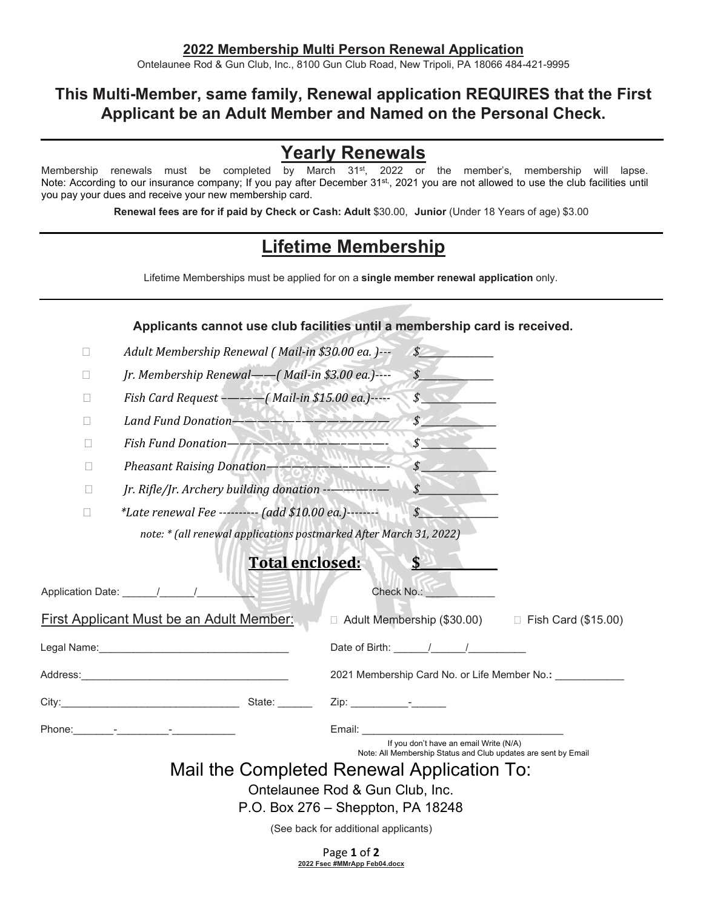Ontelaunee Rod & Gun Club, Inc., 8100 Gun Club Road, New Tripoli, PA 18066 484-421-9995

## **This Multi-Member, same family, Renewal application REQUIRES that the First Applicant be an Adult Member and Named on the Personal Check.**

## **Yearly Renewals**

Membership renewals must be completed by March 31<sup>st</sup>, 2022 or the member's, membership will lapse. Note: According to our insurance company; If you pay after December 31<sup>st,</sup>, 2021 you are not allowed to use the club facilities until you pay your dues and receive your new membership card.

**Renewal fees are for if paid by Check or Cash: Adult** \$30.00, **Junior** (Under 18 Years of age) \$3.00

## **Lifetime Membership**

Lifetime Memberships must be applied for on a **single member renewal application** only.

|                |                                                                    | Applicants cannot use club facilities until a membership card is received.                               |
|----------------|--------------------------------------------------------------------|----------------------------------------------------------------------------------------------------------|
| П              | Adult Membership Renewal (Mail-in \$30.00 ea.)---                  | $\int$                                                                                                   |
| П              | Jr. Membership Renewal—— (Mail-in \$3.00 ea.)----                  | $\mathcal{S}$                                                                                            |
| П              | Fish Card Request ---- (Mail-in \$15.00 ea.)-----                  | \$                                                                                                       |
| $\mathbb{R}^n$ | Land Fund Donation-Andrew Property                                 | $\boldsymbol{\mathcal{S}}$                                                                               |
| $\mathbf{L}$   | Fish Fund Donation-                                                | $\mathcal{S}$                                                                                            |
| $\Box$         | Pheasant Raising Donation-                                         | $\mathcal{S}$                                                                                            |
| П              |                                                                    | $\boldsymbol{\mathcal{S}}$                                                                               |
| $\Box$         | *Late renewal Fee --------- (add \$10.00 ea.)--------              | $\mathcal{S}$                                                                                            |
|                | note: * (all renewal applications postmarked After March 31, 2022) |                                                                                                          |
|                | <b>Total enclosed:</b>                                             | \$                                                                                                       |
|                |                                                                    |                                                                                                          |
|                | Application Date: 1 1                                              | Check No.: <b>Check</b>                                                                                  |
|                | <b>First Applicant Must be an Adult Member:</b>                    | $\Box$ Adult Membership (\$30.00) $\Box$ Fish Card (\$15.00)                                             |
|                |                                                                    | Date of Birth: $\sqrt{2}$                                                                                |
|                |                                                                    | 2021 Membership Card No. or Life Member No.: __________                                                  |
|                |                                                                    |                                                                                                          |
|                |                                                                    | Email: $\_\_$                                                                                            |
|                |                                                                    | If you don't have an email Write (N/A)<br>Note: All Membership Status and Club updates are sent by Email |
|                |                                                                    | Mail the Completed Renewal Application To:                                                               |
|                |                                                                    | Ontelaunee Rod & Gun Club, Inc.                                                                          |
|                |                                                                    | P.O. Box 276 – Sheppton, PA 18248                                                                        |
|                |                                                                    | (See back for additional applicants)                                                                     |
|                |                                                                    |                                                                                                          |

Page **1** of **2 2022 Fsec #MMrApp Feb04.docx**